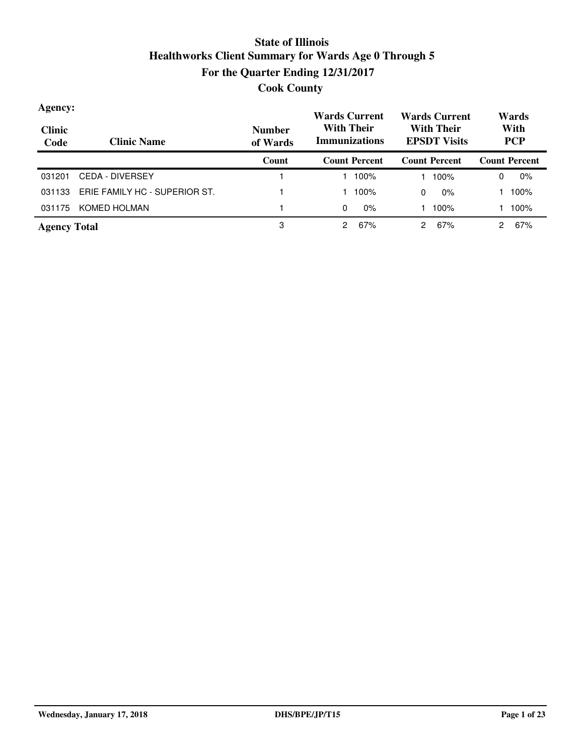| Agency:<br><b>Clinic</b><br>Code | <b>Clinic Name</b>            | <b>Number</b><br>of Wards | <b>Wards Current</b><br><b>With Their</b><br><b>Immunizations</b> | <b>Wards Current</b><br><b>With Their</b><br><b>EPSDT Visits</b> | Wards<br>With<br><b>PCP</b> |  |
|----------------------------------|-------------------------------|---------------------------|-------------------------------------------------------------------|------------------------------------------------------------------|-----------------------------|--|
|                                  |                               | Count                     | <b>Count Percent</b>                                              | <b>Count Percent</b>                                             | <b>Count Percent</b>        |  |
| 031201                           | <b>CEDA - DIVERSEY</b>        |                           | 100%                                                              | 100%                                                             | 0%<br>0                     |  |
| 031133                           | ERIE FAMILY HC - SUPERIOR ST. |                           | 100%                                                              | $0\%$<br>0                                                       | 100%                        |  |
| 031175                           | KOMED HOLMAN                  |                           | $0\%$<br>0                                                        | 100%                                                             | 100%                        |  |
| <b>Agency Total</b>              |                               | 3                         | 67%<br>2                                                          | 67%<br>2                                                         | 67%                         |  |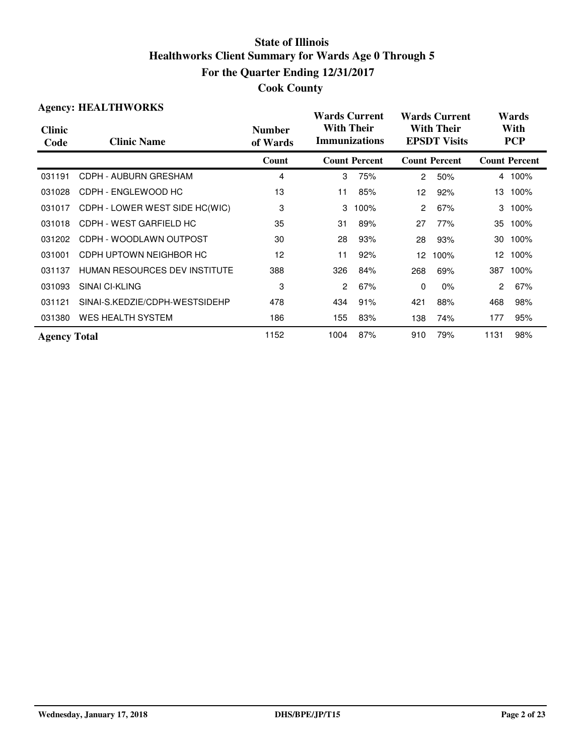|                       | <b>Agency: HEALTHWORKS</b>           |                           |                                           | <b>Wards Current</b> |                                          | <b>Wards Current</b> |                    | Wards                |  |
|-----------------------|--------------------------------------|---------------------------|-------------------------------------------|----------------------|------------------------------------------|----------------------|--------------------|----------------------|--|
| <b>Clinic</b><br>Code | <b>Clinic Name</b>                   | <b>Number</b><br>of Wards | <b>With Their</b><br><b>Immunizations</b> |                      | <b>With Their</b><br><b>EPSDT Visits</b> |                      | With<br><b>PCP</b> |                      |  |
|                       |                                      | Count                     |                                           | <b>Count Percent</b> |                                          | <b>Count Percent</b> |                    | <b>Count Percent</b> |  |
| 031191                | CDPH - AUBURN GRESHAM                | 4                         | 3                                         | 75%                  | $\overline{2}$                           | 50%                  |                    | 4 100%               |  |
| 031028                | CDPH - ENGLEWOOD HC                  | 13                        | 11                                        | 85%                  | 12                                       | 92%                  | 13                 | 100%                 |  |
| 031017                | CDPH - LOWER WEST SIDE HC(WIC)       | 3                         | 3                                         | 100%                 | $\overline{2}$                           | 67%                  | 3                  | 100%                 |  |
| 031018                | CDPH - WEST GARFIELD HC              | 35                        | 31                                        | 89%                  | 27                                       | 77%                  | 35                 | 100%                 |  |
| 031202                | CDPH - WOODLAWN OUTPOST              | 30                        | 28                                        | 93%                  | 28                                       | 93%                  | 30                 | 100%                 |  |
| 031001                | CDPH UPTOWN NEIGHBOR HC              | 12                        | 11                                        | 92%                  | 12                                       | 100%                 | 12                 | 100%                 |  |
| 031137                | <b>HUMAN RESOURCES DEV INSTITUTE</b> | 388                       | 326                                       | 84%                  | 268                                      | 69%                  | 387                | 100%                 |  |
| 031093                | <b>SINAI CI-KLING</b>                | 3                         | 2                                         | 67%                  | $\Omega$                                 | $0\%$                | $\overline{c}$     | 67%                  |  |
| 031121                | SINAI-S.KEDZIE/CDPH-WESTSIDEHP       | 478                       | 434                                       | 91%                  | 421                                      | 88%                  | 468                | 98%                  |  |
| 031380                | <b>WES HEALTH SYSTEM</b>             | 186                       | 155                                       | 83%                  | 138                                      | 74%                  | 177                | 95%                  |  |
| <b>Agency Total</b>   |                                      | 1152                      | 1004                                      | 87%                  | 910                                      | 79%                  | 1131               | 98%                  |  |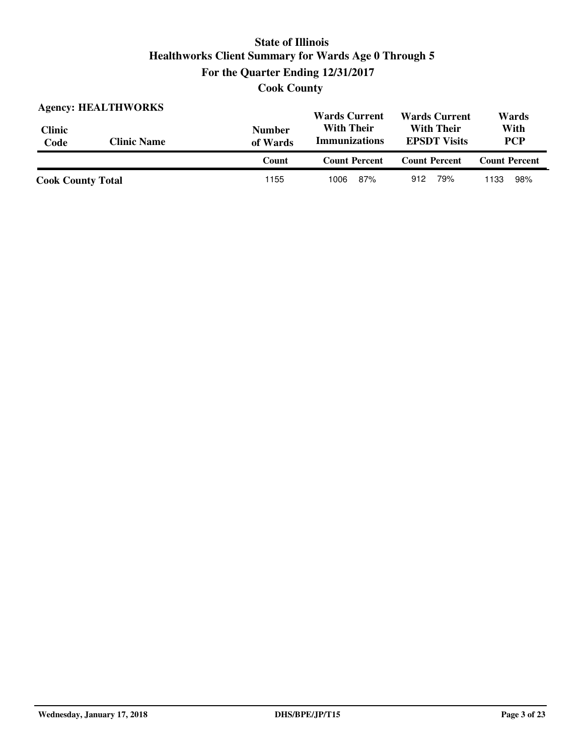**Cook County**

| <b>Agency: HEALTHWORKS</b> |                    |                           | <b>Wards Current</b>                      | <b>Wards Current</b>                     | Wards                |
|----------------------------|--------------------|---------------------------|-------------------------------------------|------------------------------------------|----------------------|
| <b>Clinic</b><br>Code      | <b>Clinic Name</b> | <b>Number</b><br>of Wards | <b>With Their</b><br><b>Immunizations</b> | <b>With Their</b><br><b>EPSDT</b> Visits |                      |
|                            |                    | Count                     | <b>Count Percent</b>                      | <b>Count Percent</b>                     | <b>Count Percent</b> |
| <b>Cook County Total</b>   |                    | 1155                      | 87%<br>1006                               | 79%<br>912                               | 98%<br>1133          |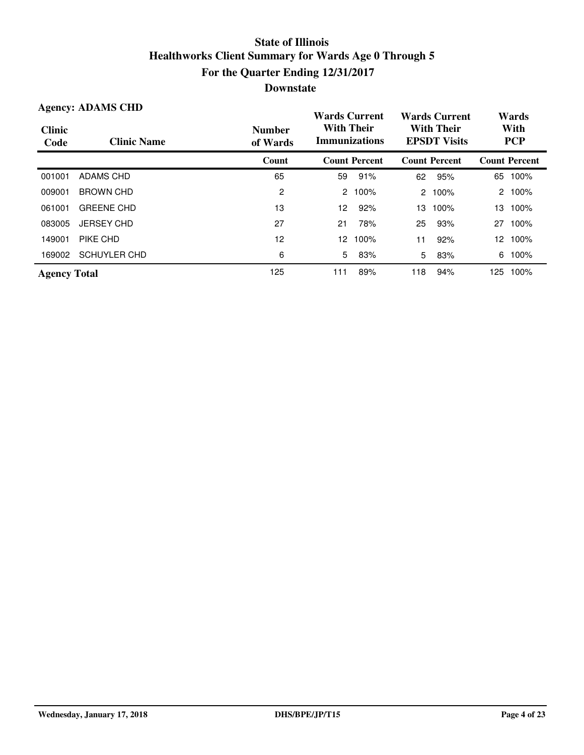| <b>Agency: ADAMS CHD</b> |                     |                           | <b>Wards Current</b>                      |                      |                                          | <b>Wards Current</b> | Wards              |                      |
|--------------------------|---------------------|---------------------------|-------------------------------------------|----------------------|------------------------------------------|----------------------|--------------------|----------------------|
| <b>Clinic</b><br>Code    | <b>Clinic Name</b>  | <b>Number</b><br>of Wards | <b>With Their</b><br><b>Immunizations</b> |                      | <b>With Their</b><br><b>EPSDT Visits</b> |                      | With<br><b>PCP</b> |                      |
|                          |                     | Count                     |                                           | <b>Count Percent</b> |                                          | <b>Count Percent</b> |                    | <b>Count Percent</b> |
| 001001                   | ADAMS CHD           | 65                        | 59                                        | 91%                  | 62                                       | 95%                  | 65                 | 100%                 |
| 009001                   | <b>BROWN CHD</b>    | 2                         | 2                                         | 100%                 | $\mathbf{2}$                             | 100%                 | $\overline{2}$     | 100%                 |
| 061001                   | <b>GREENE CHD</b>   | 13                        | 12                                        | 92%                  | 13                                       | 100%                 | 13                 | 100%                 |
| 083005                   | <b>JERSEY CHD</b>   | 27                        | 21                                        | 78%                  | 25                                       | 93%                  | 27                 | 100%                 |
| 149001                   | PIKE CHD            | 12                        | 12                                        | 100%                 | 11                                       | 92%                  | 12                 | 100%                 |
| 169002                   | <b>SCHUYLER CHD</b> | 6                         | 5                                         | 83%                  | 5                                        | 83%                  | 6                  | 100%                 |
| <b>Agency Total</b>      |                     | 125                       | 111                                       | 89%                  | 118                                      | 94%                  | 125                | 100%                 |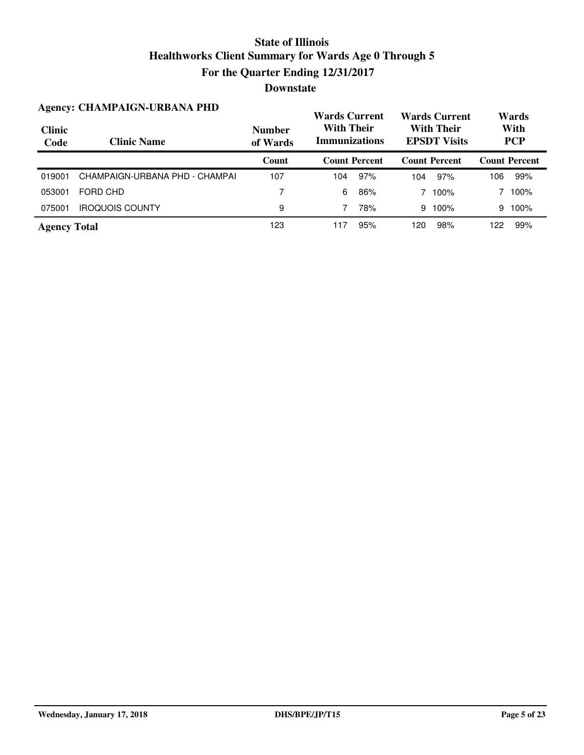| <b>Agency: CHAMPAIGN-URBANA PHD</b> |                                |                           | <b>Wards Current</b>                      |                      | <b>Wards Current</b>                     |                      | Wards              |                      |
|-------------------------------------|--------------------------------|---------------------------|-------------------------------------------|----------------------|------------------------------------------|----------------------|--------------------|----------------------|
| <b>Clinic</b><br>Code               | <b>Clinic Name</b>             | <b>Number</b><br>of Wards | <b>With Their</b><br><b>Immunizations</b> |                      | <b>With Their</b><br><b>EPSDT Visits</b> |                      | With<br><b>PCP</b> |                      |
|                                     |                                | Count                     |                                           | <b>Count Percent</b> |                                          | <b>Count Percent</b> |                    | <b>Count Percent</b> |
| 019001                              | CHAMPAIGN-URBANA PHD - CHAMPAI | 107                       | 104                                       | 97%                  | 104                                      | 97%                  | 106                | 99%                  |
| 053001                              | FORD CHD                       | 7                         | 6                                         | 86%                  |                                          | 100%                 |                    | 100%                 |
| 075001                              | <b>IROQUOIS COUNTY</b>         | 9                         |                                           | 78%                  | 9                                        | 100%                 | 9                  | 100%                 |
| <b>Agency Total</b>                 |                                | 123                       | 117                                       | 95%                  | 120                                      | 98%                  | 122                | 99%                  |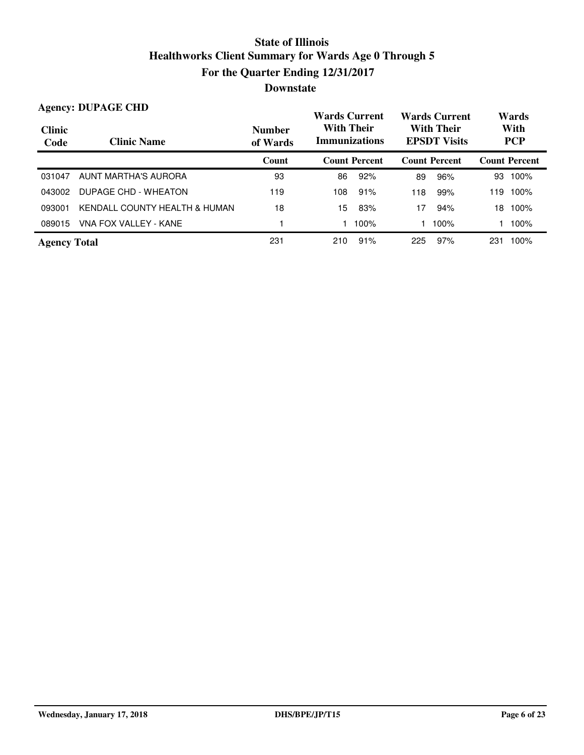| <b>Agency: DUPAGE CHD</b> |                               |                           | <b>Wards Current</b>                      |                      |     | <b>Wards Current</b>                     |                    | Wards                |  |
|---------------------------|-------------------------------|---------------------------|-------------------------------------------|----------------------|-----|------------------------------------------|--------------------|----------------------|--|
| <b>Clinic</b><br>Code     | <b>Clinic Name</b>            | <b>Number</b><br>of Wards | <b>With Their</b><br><b>Immunizations</b> |                      |     | <b>With Their</b><br><b>EPSDT Visits</b> | With<br><b>PCP</b> |                      |  |
|                           |                               | Count                     |                                           | <b>Count Percent</b> |     | <b>Count Percent</b>                     |                    | <b>Count Percent</b> |  |
| 031047                    | AUNT MARTHA'S AURORA          | 93                        | 86                                        | 92%                  | 89  | 96%                                      | 93                 | 100%                 |  |
| 043002                    | DUPAGE CHD - WHEATON          | 119                       | 108                                       | 91%                  | 118 | 99%                                      | 119                | 100%                 |  |
| 093001                    | KENDALL COUNTY HEALTH & HUMAN | 18                        | 15                                        | 83%                  | 17  | 94%                                      | 18                 | 100%                 |  |
| 089015                    | VNA FOX VALLEY - KANE         |                           |                                           | 100%                 |     | 100%                                     |                    | 100%                 |  |
| <b>Agency Total</b>       |                               | 231                       | 210                                       | 91%                  | 225 | 97%                                      | 231                | 100%                 |  |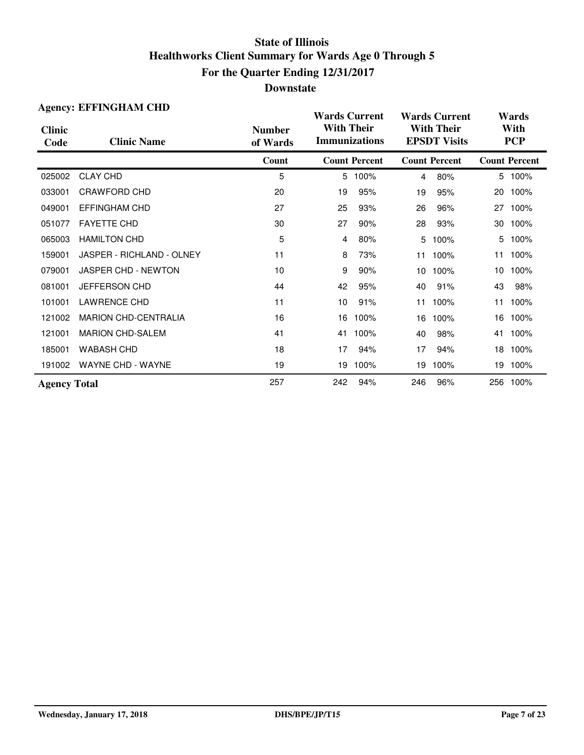|                       | <b>Agency: EFFINGHAM CHD</b> |                           | <b>Wards Current</b>                      |                      |                                          | <b>Wards Current</b> |                    | Wards                |
|-----------------------|------------------------------|---------------------------|-------------------------------------------|----------------------|------------------------------------------|----------------------|--------------------|----------------------|
| <b>Clinic</b><br>Code | <b>Clinic Name</b>           | <b>Number</b><br>of Wards | <b>With Their</b><br><b>Immunizations</b> |                      | <b>With Their</b><br><b>EPSDT Visits</b> |                      | With<br><b>PCP</b> |                      |
|                       |                              | Count                     |                                           | <b>Count Percent</b> |                                          | <b>Count Percent</b> |                    | <b>Count Percent</b> |
| 025002                | <b>CLAY CHD</b>              | 5                         |                                           | 5 100%               | $\overline{4}$                           | 80%                  |                    | 5 100%               |
| 033001                | <b>CRAWFORD CHD</b>          | 20                        | 19                                        | 95%                  | 19                                       | 95%                  | 20                 | 100%                 |
| 049001                | <b>EFFINGHAM CHD</b>         | 27                        | 25                                        | 93%                  | 26                                       | 96%                  | 27                 | 100%                 |
| 051077                | <b>FAYETTE CHD</b>           | 30                        | 27                                        | 90%                  | 28                                       | 93%                  | 30                 | 100%                 |
| 065003                | <b>HAMILTON CHD</b>          | 5                         | $\overline{4}$                            | 80%                  | 5                                        | 100%                 | 5                  | 100%                 |
| 159001                | JASPER - RICHLAND - OLNEY    | 11                        | 8                                         | 73%                  | 11                                       | 100%                 | 11                 | 100%                 |
| 079001                | <b>JASPER CHD - NEWTON</b>   | 10                        | 9                                         | 90%                  | 10                                       | 100%                 | 10                 | 100%                 |
| 081001                | JEFFERSON CHD                | 44                        | 42                                        | 95%                  | 40                                       | 91%                  | 43                 | 98%                  |
| 101001                | <b>LAWRENCE CHD</b>          | 11                        | 10                                        | 91%                  | 11                                       | 100%                 | 11                 | 100%                 |
| 121002                | <b>MARION CHD-CENTRALIA</b>  | 16                        | 16                                        | 100%                 | 16                                       | 100%                 | 16                 | 100%                 |
| 121001                | <b>MARION CHD-SALEM</b>      | 41                        | 41                                        | 100%                 | 40                                       | 98%                  | 41                 | 100%                 |
| 185001                | <b>WABASH CHD</b>            | 18                        | 17                                        | 94%                  | 17                                       | 94%                  | 18                 | 100%                 |
| 191002                | <b>WAYNE CHD - WAYNE</b>     | 19                        | 19                                        | 100%                 | 19                                       | 100%                 | 19                 | 100%                 |
| <b>Agency Total</b>   |                              | 257                       | 242                                       | 94%                  | 246                                      | 96%                  |                    | 256 100%             |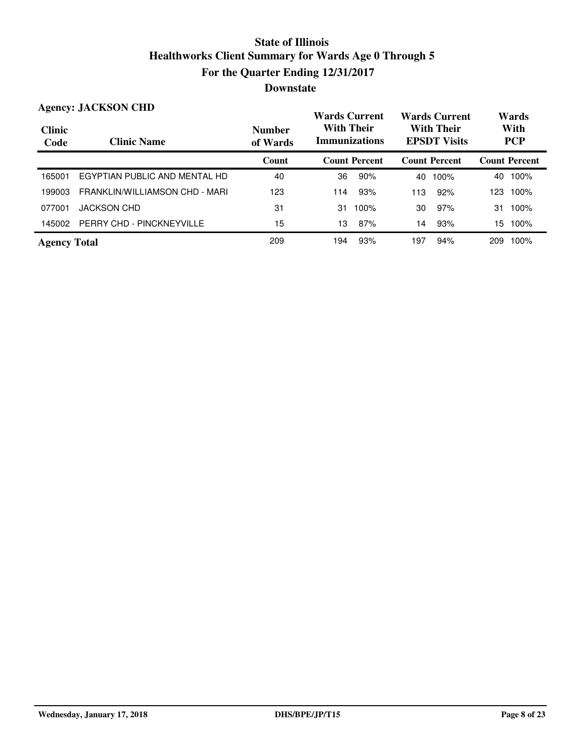#### **Wards Current With Their Immunizations Wards Current With Their EPSDT Visits Clinic Code Clinic Name Number of Wards Count Count Percent Count Percent Count Percent Agency: JACKSON CHD Wards With PCP** 165001 EGYPTIAN PUBLIC AND MENTAL HD 40 36 90% 40 100% 40 100% 199003 FRANKLIN/WILLIAMSON CHD - MARI 123 114 93% 113 92% 123 100% 077001 JACKSON CHD 31 31 100% 30 97% 31 100% 145002 PERRY CHD - PINCKNEYVILLE 15 15 15 16 13 87% 14 93% 15 100% **Agency Total** 209 209 194 93% 197 94% 209 100%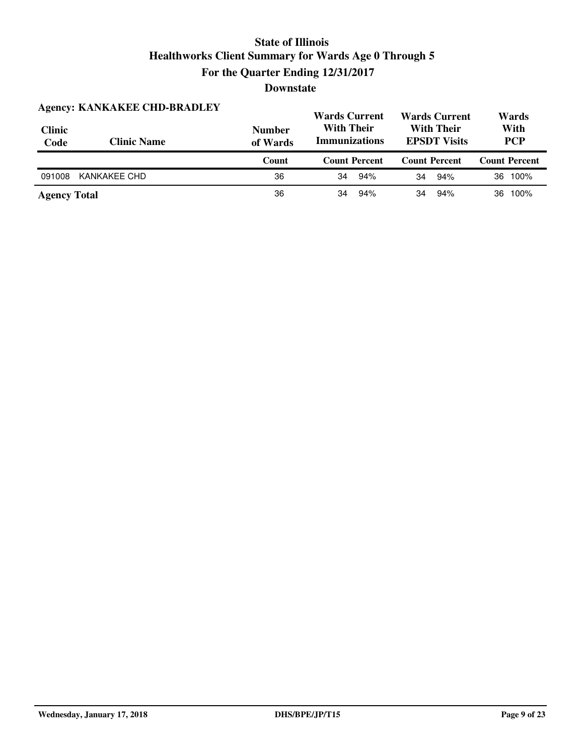| <b>Agency: KANKAKEE CHD-BRADLEY</b> |                    | <b>Wards Current</b>      |                                                                                       | <b>Wards Current</b> | Wards                |  |
|-------------------------------------|--------------------|---------------------------|---------------------------------------------------------------------------------------|----------------------|----------------------|--|
| <b>Clinic</b><br>Code               | <b>Clinic Name</b> | <b>Number</b><br>of Wards | <b>With Their</b><br><b>With Their</b><br><b>Immunizations</b><br><b>EPSDT Visits</b> |                      | With<br><b>PCP</b>   |  |
|                                     |                    |                           |                                                                                       |                      |                      |  |
|                                     |                    | Count                     | <b>Count Percent</b>                                                                  | <b>Count Percent</b> | <b>Count Percent</b> |  |
| 091008                              | KANKAKEE CHD       | 36                        | 94%<br>34                                                                             | 94%<br>34            | 100%<br>36           |  |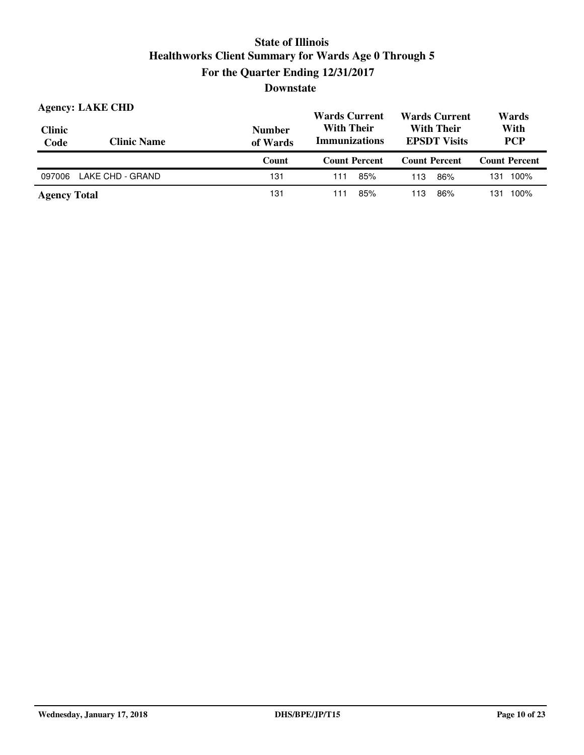| <b>Clinic</b><br>Code | <b>Agency: LAKE CHD</b><br><b>Clinic Name</b> | <b>Number</b><br>of Wards | <b>Wards Current</b><br><b>Wards Current</b><br><b>With Their</b><br><b>With Their</b><br><b>Immunizations</b><br><b>EPSDT Visits</b> |                      | Wards<br>With<br><b>PCP</b> |  |
|-----------------------|-----------------------------------------------|---------------------------|---------------------------------------------------------------------------------------------------------------------------------------|----------------------|-----------------------------|--|
|                       |                                               | Count                     | <b>Count Percent</b>                                                                                                                  | <b>Count Percent</b> | <b>Count Percent</b>        |  |
|                       |                                               |                           |                                                                                                                                       |                      |                             |  |
| 097006                | LAKE CHD - GRAND                              | 131                       | 85%<br>111                                                                                                                            | 86%<br>113           | 100%<br>131                 |  |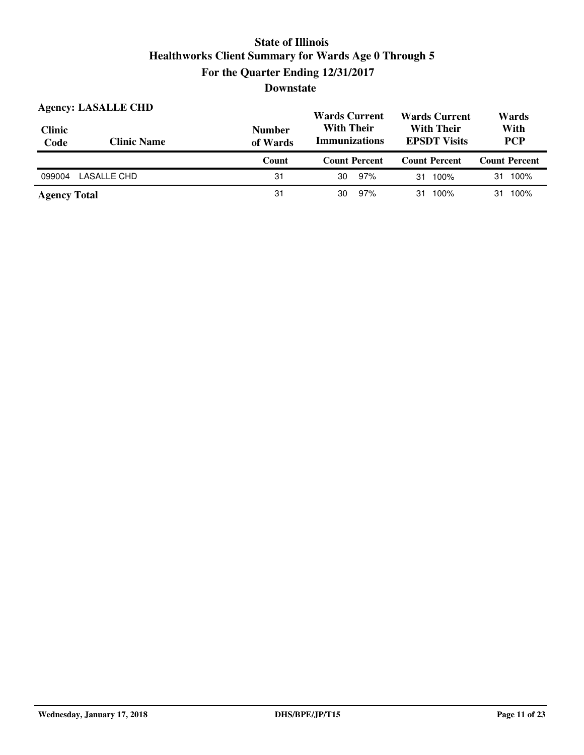| <b>Clinic</b><br>Code | <b>Agency: LASALLE CHD</b><br><b>Clinic Name</b> | <b>Number</b><br>of Wards | <b>Wards Current</b><br><b>With Their</b><br><b>Immunizations</b> | <b>Wards Current</b><br><b>With Their</b><br><b>EPSDT Visits</b> | Wards<br>With<br><b>PCP</b> |  |
|-----------------------|--------------------------------------------------|---------------------------|-------------------------------------------------------------------|------------------------------------------------------------------|-----------------------------|--|
|                       |                                                  | Count                     | <b>Count Percent</b>                                              | <b>Count Percent</b>                                             | <b>Count Percent</b>        |  |
| 099004                | LASALLE CHD                                      | 31                        | 97%<br>30                                                         | 100%<br>31                                                       | 100%<br>31                  |  |
| <b>Agency Total</b>   |                                                  | 31                        | 97%<br>30                                                         | 100%<br>31.                                                      | 100%<br>31                  |  |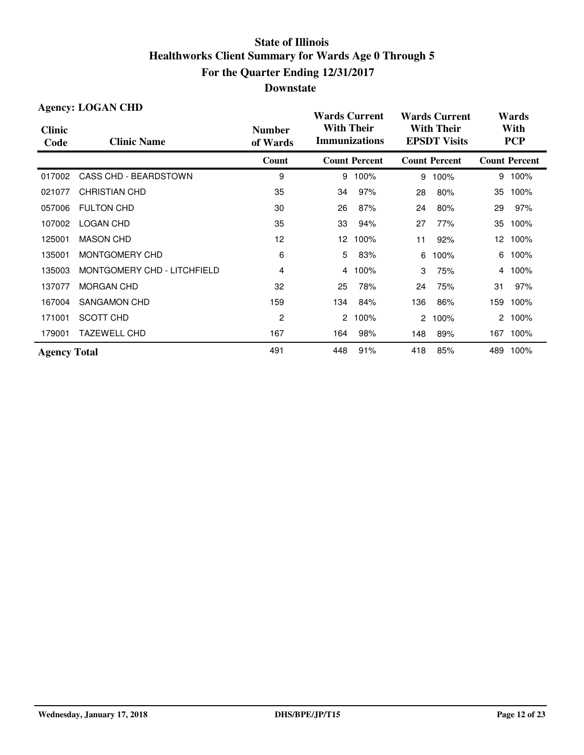| <b>Agency: LOGAN CHD</b> |                             |                           |                                           | <b>Wards Current</b> |                                          | <b>Wards Current</b> |                    | Wards                |  |
|--------------------------|-----------------------------|---------------------------|-------------------------------------------|----------------------|------------------------------------------|----------------------|--------------------|----------------------|--|
| <b>Clinic</b><br>Code    | <b>Clinic Name</b>          | <b>Number</b><br>of Wards | <b>With Their</b><br><b>Immunizations</b> |                      | <b>With Their</b><br><b>EPSDT Visits</b> |                      | With<br><b>PCP</b> |                      |  |
|                          |                             | Count                     |                                           | <b>Count Percent</b> |                                          | <b>Count Percent</b> |                    | <b>Count Percent</b> |  |
| 017002                   | CASS CHD - BEARDSTOWN       | 9                         | 9                                         | 100%                 | 9                                        | 100%                 | 9                  | 100%                 |  |
| 021077                   | <b>CHRISTIAN CHD</b>        | 35                        | 34                                        | 97%                  | 28                                       | 80%                  | 35                 | 100%                 |  |
| 057006                   | <b>FULTON CHD</b>           | 30                        | 26                                        | 87%                  | 24                                       | 80%                  | 29                 | 97%                  |  |
| 107002                   | <b>LOGAN CHD</b>            | 35                        | 33                                        | 94%                  | 27                                       | 77%                  | 35                 | 100%                 |  |
| 125001                   | <b>MASON CHD</b>            | 12                        | 12 <sup>2</sup>                           | 100%                 | 11                                       | 92%                  | 12 <sup>12</sup>   | 100%                 |  |
| 135001                   | MONTGOMERY CHD              | 6                         | 5.                                        | 83%                  | 6                                        | 100%                 | 6                  | 100%                 |  |
| 135003                   | MONTGOMERY CHD - LITCHFIELD | 4                         | 4                                         | 100%                 | 3                                        | 75%                  | 4                  | 100%                 |  |
| 137077                   | <b>MORGAN CHD</b>           | 32                        | 25                                        | 78%                  | 24                                       | 75%                  | 31                 | 97%                  |  |
| 167004                   | <b>SANGAMON CHD</b>         | 159                       | 134                                       | 84%                  | 136                                      | 86%                  | 159                | 100%                 |  |
| 171001                   | SCOTT CHD                   | 2                         | $\overline{2}$                            | 100%                 | $\mathbf{2}^{\circ}$                     | 100%                 | 2                  | 100%                 |  |
| 179001                   | <b>TAZEWELL CHD</b>         | 167                       | 164                                       | 98%                  | 148                                      | 89%                  |                    | 167 100%             |  |
| <b>Agency Total</b>      |                             | 491                       | 448                                       | 91%                  | 418                                      | 85%                  | 489                | 100%                 |  |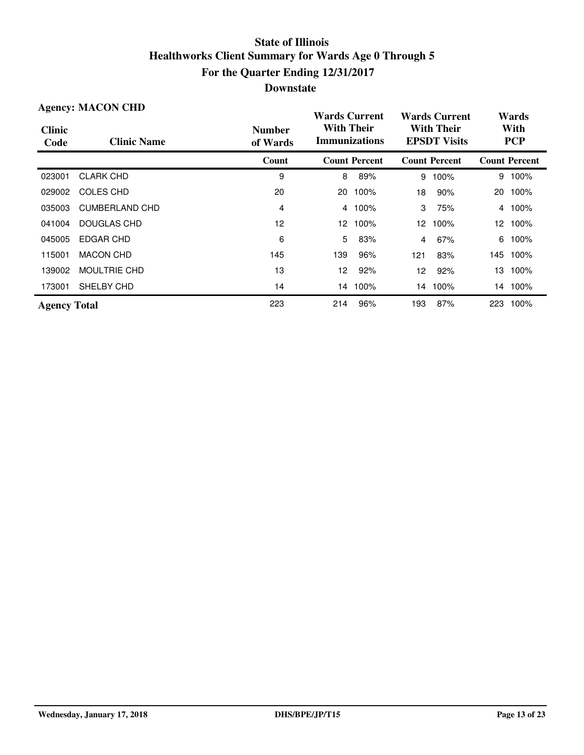| <b>Agency: MACON CHD</b> |                     |                           | <b>Wards Current</b>                                                                  |                      |     | <b>Wards Current</b> |     | Wards                |  |
|--------------------------|---------------------|---------------------------|---------------------------------------------------------------------------------------|----------------------|-----|----------------------|-----|----------------------|--|
| <b>Clinic</b><br>Code    | <b>Clinic Name</b>  | <b>Number</b><br>of Wards | <b>With Their</b><br><b>With Their</b><br><b>Immunizations</b><br><b>EPSDT Visits</b> |                      |     | With<br><b>PCP</b>   |     |                      |  |
|                          |                     | Count                     |                                                                                       | <b>Count Percent</b> |     | <b>Count Percent</b> |     | <b>Count Percent</b> |  |
| 023001                   | <b>CLARK CHD</b>    | 9                         | 8                                                                                     | 89%                  | 9   | 100%                 | 9   | 100%                 |  |
| 029002                   | <b>COLES CHD</b>    | 20                        | 20                                                                                    | 100%                 | 18  | 90%                  |     | 20 100%              |  |
| 035003                   | CUMBERLAND CHD      | 4                         | 4                                                                                     | 100%                 | 3   | 75%                  | 4   | 100%                 |  |
| 041004                   | DOUGLAS CHD         | 12                        | 12                                                                                    | 100%                 | 12  | 100%                 |     | 12 100%              |  |
| 045005                   | EDGAR CHD           | 6                         | 5                                                                                     | 83%                  | 4   | 67%                  | 6   | 100%                 |  |
| 115001                   | <b>MACON CHD</b>    | 145                       | 139                                                                                   | 96%                  | 121 | 83%                  |     | 145 100%             |  |
| 139002                   | <b>MOULTRIE CHD</b> | 13                        | 12                                                                                    | 92%                  | 12  | 92%                  | 13  | 100%                 |  |
| 173001                   | SHELBY CHD          | 14                        | 14                                                                                    | 100%                 | 14  | 100%                 | 14  | 100%                 |  |
| <b>Agency Total</b>      |                     | 223                       | 214                                                                                   | 96%                  | 193 | 87%                  | 223 | 100%                 |  |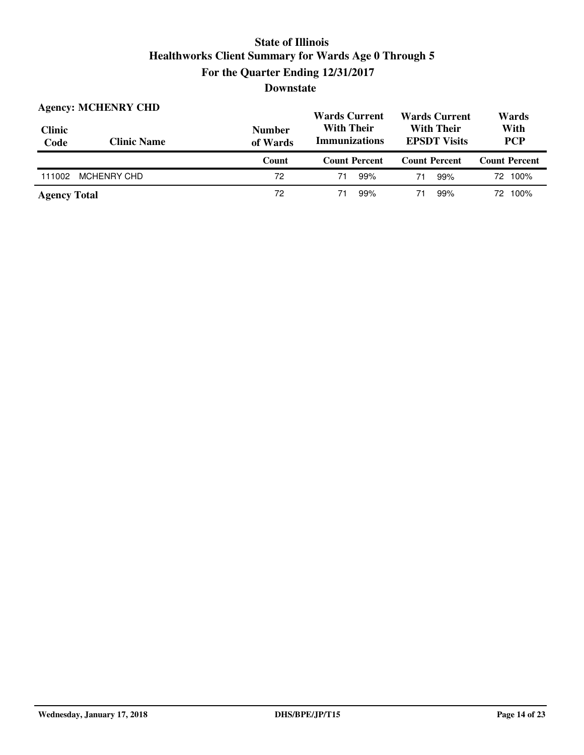| <b>Clinic</b><br>Code | <b>Agency: MCHENRY CHD</b><br><b>Clinic Name</b> | <b>Number</b><br>of Wards | <b>Wards Current</b><br><b>With Their</b><br><b>Immunizations</b> | <b>Wards Current</b><br><b>With Their</b><br><b>EPSDT Visits</b> | Wards<br>With<br><b>PCP</b> |  |
|-----------------------|--------------------------------------------------|---------------------------|-------------------------------------------------------------------|------------------------------------------------------------------|-----------------------------|--|
|                       |                                                  |                           |                                                                   |                                                                  |                             |  |
|                       |                                                  | Count                     | <b>Count Percent</b>                                              | <b>Count Percent</b>                                             | <b>Count Percent</b>        |  |
| 111002                | <b>MCHENRY CHD</b>                               | 72                        | 71<br>99%                                                         | 99%<br>71                                                        | 72 100%                     |  |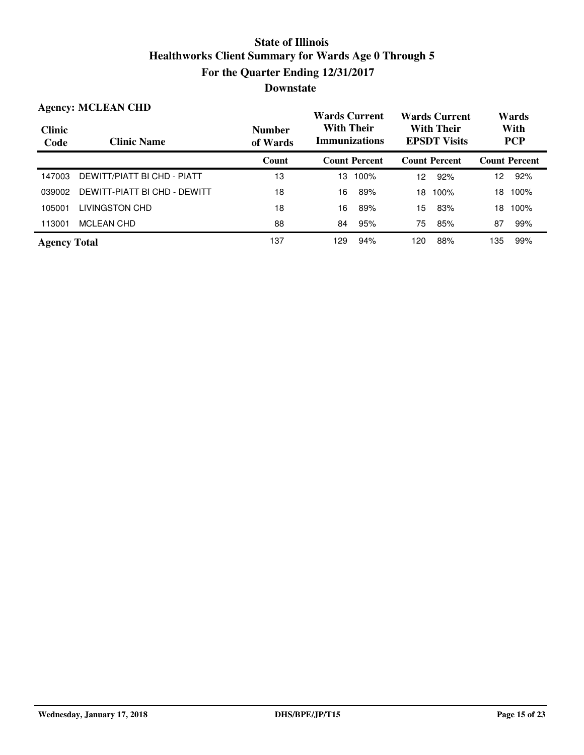|                       | <b>Agency: MCLEAN CHD</b>    |                           | <b>Wards Current</b>                      | <b>Wards Current</b>                     | Wards                |
|-----------------------|------------------------------|---------------------------|-------------------------------------------|------------------------------------------|----------------------|
| <b>Clinic</b><br>Code | <b>Clinic Name</b>           | <b>Number</b><br>of Wards | <b>With Their</b><br><b>Immunizations</b> | <b>With Their</b><br><b>EPSDT Visits</b> | With<br><b>PCP</b>   |
|                       |                              | Count                     | <b>Count Percent</b>                      | <b>Count Percent</b>                     | <b>Count Percent</b> |
| 147003                | DEWITT/PIATT BI CHD - PIATT  | 13                        | 100%<br>13                                | 92%<br>12 <sup>2</sup>                   | 92%<br>12            |
| 039002                | DEWITT-PIATT BI CHD - DEWITT | 18                        | 16<br>89%                                 | 100%<br>18                               | 100%<br>18           |
| 105001                | LIVINGSTON CHD               | 18                        | 16<br>89%                                 | 15<br>83%                                | 100%<br>18           |
| 113001                | <b>MCLEAN CHD</b>            | 88                        | 95%<br>84                                 | 75<br>85%                                | 87<br>99%            |
| <b>Agency Total</b>   |                              | 137                       | 94%<br>129                                | 88%<br>120                               | 135<br>99%           |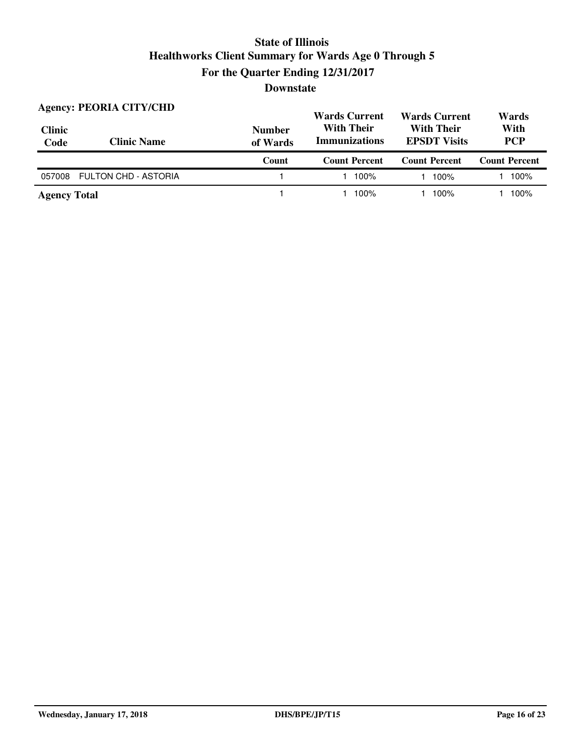| <b>Clinic</b><br>Code | <b>Agency: PEORIA CITY/CHD</b><br><b>Clinic Name</b> | <b>Number</b><br>of Wards | <b>Wards Current</b><br><b>With Their</b><br><b>Immunizations</b> | <b>Wards Current</b><br><b>With Their</b><br><b>EPSDT Visits</b> | Wards<br>With<br><b>PCP</b> |  |
|-----------------------|------------------------------------------------------|---------------------------|-------------------------------------------------------------------|------------------------------------------------------------------|-----------------------------|--|
|                       |                                                      | Count                     | <b>Count Percent</b>                                              | <b>Count Percent</b>                                             | <b>Count Percent</b>        |  |
| 057008                | <b>FULTON CHD - ASTORIA</b>                          |                           | 100%                                                              | 100%                                                             | 100%                        |  |
| <b>Agency Total</b>   |                                                      |                           | 100%                                                              | 100%                                                             | 100%                        |  |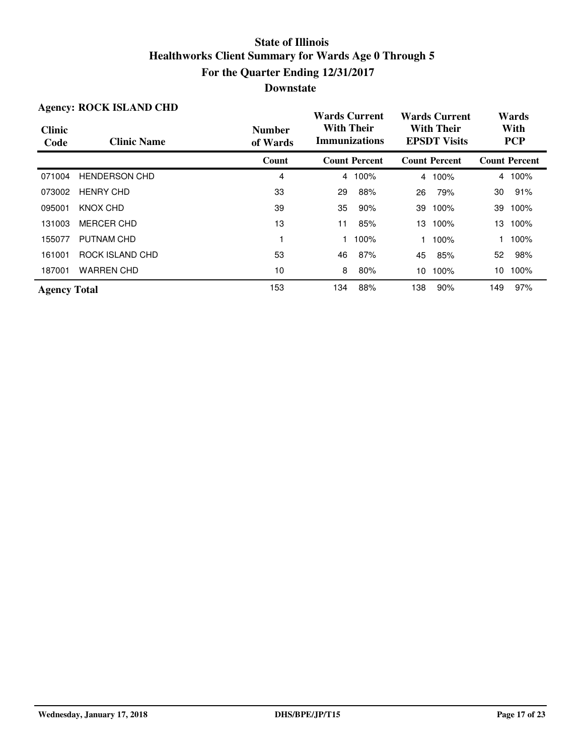| <b>Agency: ROCK ISLAND CHD</b> |                      |                           | <b>Wards Current</b>                      |                      |                                          | <b>Wards Current</b> |     | Wards                |
|--------------------------------|----------------------|---------------------------|-------------------------------------------|----------------------|------------------------------------------|----------------------|-----|----------------------|
| <b>Clinic</b><br>Code          | <b>Clinic Name</b>   | <b>Number</b><br>of Wards | <b>With Their</b><br><b>Immunizations</b> |                      | <b>With Their</b><br><b>EPSDT Visits</b> |                      |     | With<br><b>PCP</b>   |
|                                |                      | Count                     |                                           | <b>Count Percent</b> |                                          | <b>Count Percent</b> |     | <b>Count Percent</b> |
| 071004                         | <b>HENDERSON CHD</b> | 4                         |                                           | 4 100%               | 4                                        | 100%                 |     | 4 100%               |
| 073002                         | <b>HENRY CHD</b>     | 33                        | 29                                        | 88%                  | 26                                       | 79%                  | 30  | 91%                  |
| 095001                         | KNOX CHD             | 39                        | 35                                        | 90%                  | 39                                       | 100%                 | 39  | 100%                 |
| 131003                         | <b>MERCER CHD</b>    | 13                        | 11                                        | 85%                  | 13                                       | 100%                 |     | 13 100%              |
| 155077                         | PUTNAM CHD           |                           |                                           | 100%                 |                                          | 100%                 |     | 100%                 |
| 161001                         | ROCK ISLAND CHD      | 53                        | 46                                        | 87%                  | 45                                       | 85%                  | 52  | 98%                  |
| 187001                         | <b>WARREN CHD</b>    | 10                        | 8                                         | 80%                  | 10                                       | 100%                 | 10  | 100%                 |
| <b>Agency Total</b>            |                      | 153                       | 134                                       | 88%                  | 138                                      | 90%                  | 149 | 97%                  |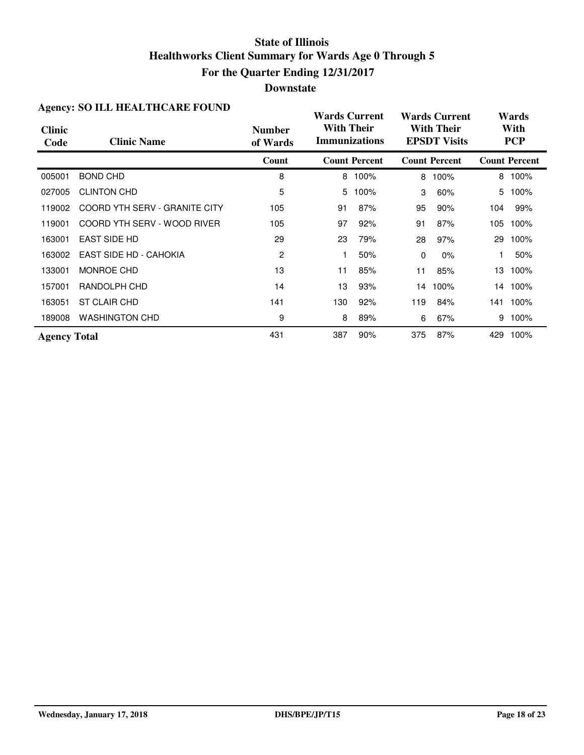#### **Downstate**

|                       | Agency. BO TELL HEALTHCARE FOUND |                           | <b>Wards Current</b> |                      |          | <b>Wards Current</b>                     |     | Wards                |
|-----------------------|----------------------------------|---------------------------|----------------------|----------------------|----------|------------------------------------------|-----|----------------------|
| <b>Clinic</b><br>Code | <b>Clinic Name</b>               | <b>Number</b><br>of Wards | <b>With Their</b>    | <b>Immunizations</b> |          | <b>With Their</b><br><b>EPSDT Visits</b> |     | With<br><b>PCP</b>   |
|                       |                                  | Count                     |                      | <b>Count Percent</b> |          | <b>Count Percent</b>                     |     | <b>Count Percent</b> |
| 005001                | <b>BOND CHD</b>                  | 8                         |                      | 8 100%               | 8        | 100%                                     |     | 8 100%               |
| 027005                | <b>CLINTON CHD</b>               | 5                         | 5                    | 100%                 | 3        | 60%                                      | 5   | 100%                 |
| 119002                | COORD YTH SERV - GRANITE CITY    | 105                       | 91                   | 87%                  | 95       | 90%                                      | 104 | 99%                  |
| 119001                | COORD YTH SERV - WOOD RIVER      | 105                       | 97                   | 92%                  | 91       | 87%                                      | 105 | 100%                 |
| 163001                | <b>EAST SIDE HD</b>              | 29                        | 23                   | 79%                  | 28       | 97%                                      | 29  | 100%                 |
| 163002                | EAST SIDE HD - CAHOKIA           | 2                         |                      | 50%                  | $\Omega$ | $0\%$                                    |     | 50%                  |
| 133001                | MONROE CHD                       | 13                        | 11                   | 85%                  | 11       | 85%                                      |     | 13 100%              |
| 157001                | RANDOLPH CHD                     | 14                        | 13                   | 93%                  | 14       | 100%                                     |     | 14 100%              |
| 163051                | <b>ST CLAIR CHD</b>              | 141                       | 130                  | 92%                  | 119      | 84%                                      | 141 | 100%                 |
| 189008                | <b>WASHINGTON CHD</b>            | 9                         | 8                    | 89%                  | 6        | 67%                                      | 9   | 100%                 |
| <b>Agency Total</b>   |                                  | 431                       | 387                  | 90%                  | 375      | 87%                                      | 429 | 100%                 |

#### **Agency: SO ILL HEALTHCARE FOUND**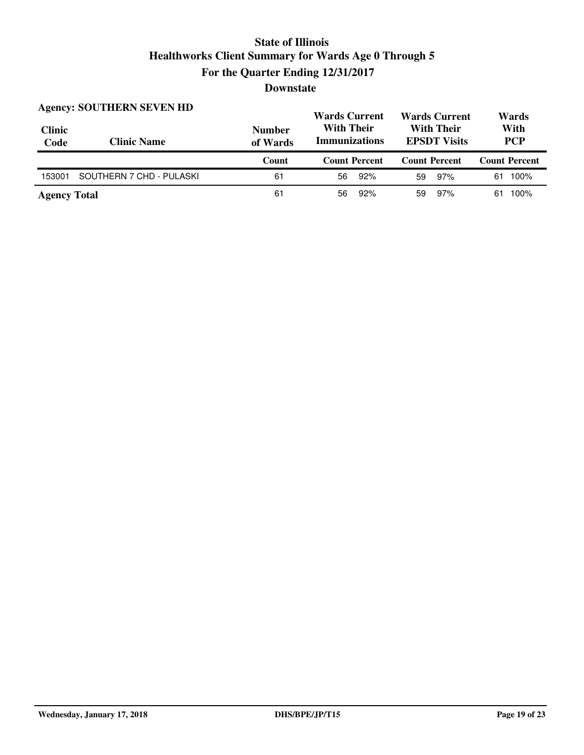| <b>Clinic</b><br>Code | <b>Agency: SOUTHERN SEVEN HD</b><br><b>Clinic Name</b> | <b>Number</b><br>of Wards | <b>Wards Current</b><br><b>With Their</b><br><b>Immunizations</b> | <b>Wards Current</b><br><b>With Their</b><br><b>EPSDT Visits</b> | Wards<br>With<br><b>PCP</b> |  |
|-----------------------|--------------------------------------------------------|---------------------------|-------------------------------------------------------------------|------------------------------------------------------------------|-----------------------------|--|
|                       |                                                        |                           |                                                                   |                                                                  |                             |  |
|                       |                                                        | Count                     | <b>Count Percent</b>                                              | <b>Count Percent</b>                                             | <b>Count Percent</b>        |  |
| 153001                | SOUTHERN 7 CHD - PULASKI                               | 61                        | 92%<br>56                                                         | 97%<br>59                                                        | 100%<br>61                  |  |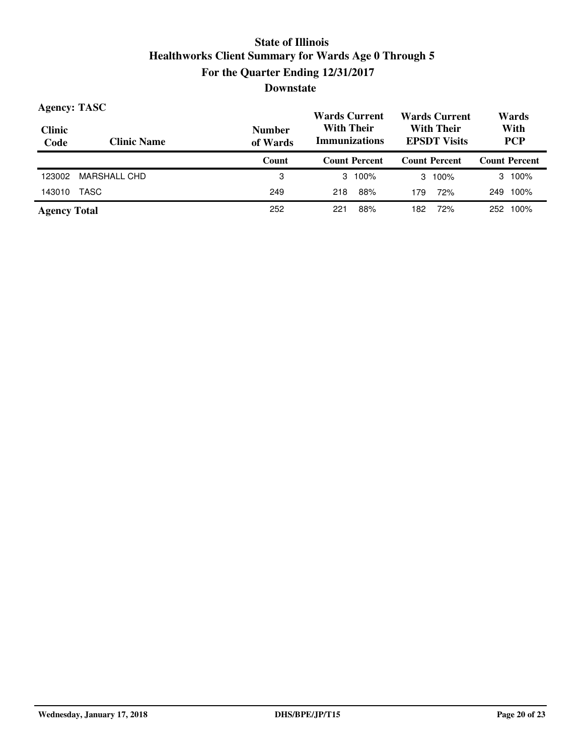| <b>Agency: TASC</b>   |                    |                           | <b>Wards Current</b>                                                                  | <b>Wards Current</b> | Wards                |  |
|-----------------------|--------------------|---------------------------|---------------------------------------------------------------------------------------|----------------------|----------------------|--|
| <b>Clinic</b><br>Code | <b>Clinic Name</b> | <b>Number</b><br>of Wards | <b>With Their</b><br><b>With Their</b><br><b>Immunizations</b><br><b>EPSDT Visits</b> |                      | With<br><b>PCP</b>   |  |
|                       |                    | Count                     | <b>Count Percent</b>                                                                  | <b>Count Percent</b> | <b>Count Percent</b> |  |
| 123002                | MARSHALL CHD       | 3                         | $3 \t100\%$                                                                           | $3, 100\%$           | $3 \t100\%$          |  |
| 143010                | TASC               | 249                       | 88%<br>218                                                                            | 72%<br>179           | 100%<br>249          |  |
| <b>Agency Total</b>   |                    | 252                       | 88%<br>221                                                                            | 72%<br>182           | 100%<br>252          |  |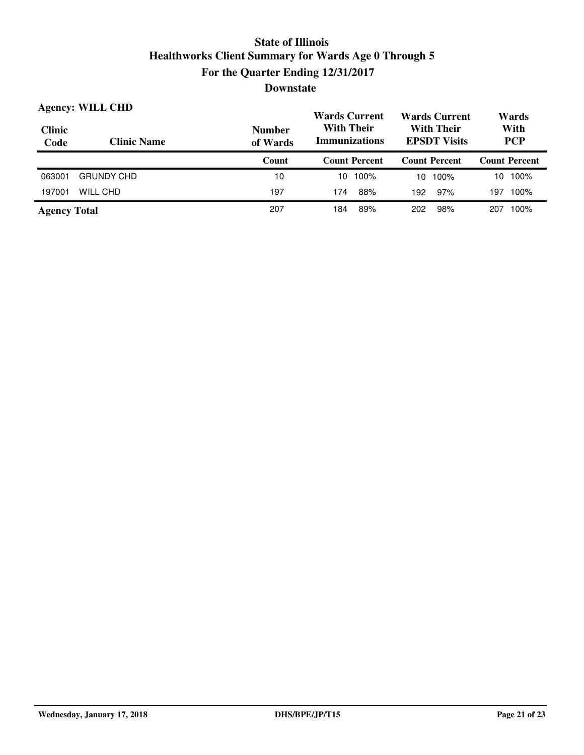|                       | <b>Agency: WILL CHD</b> |                           | <b>Wards Current</b>                                                                  | <b>Wards Current</b> | Wards                |
|-----------------------|-------------------------|---------------------------|---------------------------------------------------------------------------------------|----------------------|----------------------|
| <b>Clinic</b><br>Code | <b>Clinic Name</b>      | <b>Number</b><br>of Wards | <b>With Their</b><br><b>With Their</b><br><b>Immunizations</b><br><b>EPSDT Visits</b> |                      | With<br><b>PCP</b>   |
|                       |                         | Count                     | Count Percent                                                                         | <b>Count Percent</b> | <b>Count Percent</b> |
| 063001                | <b>GRUNDY CHD</b>       | 10                        | 100%<br>10                                                                            | 100%<br>10           | 100%<br>10           |
| 197001                | WILL CHD                | 197                       | 88%<br>174                                                                            | 97%<br>192           | 100%<br>197          |
| <b>Agency Total</b>   |                         | 207                       | 89%<br>184                                                                            | 98%<br>202           | 100%<br>207          |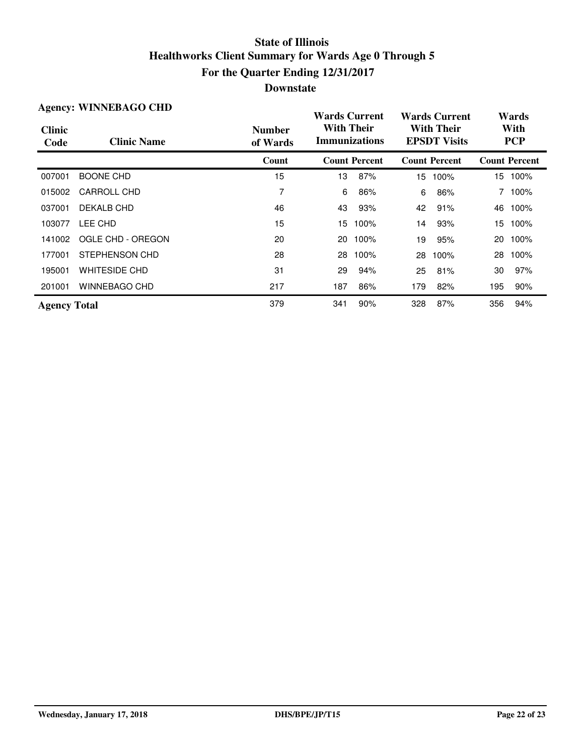| <b>Agency: WINNEBAGO CHD</b> |                      |                           | <b>Wards Current</b>                      |                      |                                          | <b>Wards Current</b> |     | Wards                |  |
|------------------------------|----------------------|---------------------------|-------------------------------------------|----------------------|------------------------------------------|----------------------|-----|----------------------|--|
| <b>Clinic</b><br>Code        | <b>Clinic Name</b>   | <b>Number</b><br>of Wards | <b>With Their</b><br><b>Immunizations</b> |                      | <b>With Their</b><br><b>EPSDT Visits</b> |                      |     | With<br><b>PCP</b>   |  |
|                              |                      | Count                     |                                           | <b>Count Percent</b> |                                          | <b>Count Percent</b> |     | <b>Count Percent</b> |  |
| 007001                       | <b>BOONE CHD</b>     | 15                        | 13                                        | 87%                  | 15                                       | 100%                 |     | 15 100%              |  |
| 015002                       | CARROLL CHD          | 7                         | 6                                         | 86%                  | 6                                        | 86%                  | 7   | 100%                 |  |
| 037001                       | DEKALB CHD           | 46                        | 43                                        | 93%                  | 42                                       | 91%                  | 46  | 100%                 |  |
| 103077                       | LEE CHD              | 15                        | 15.                                       | 100%                 | 14                                       | 93%                  | 15  | 100%                 |  |
| 141002                       | OGLE CHD - OREGON    | 20                        | 20                                        | 100%                 | 19                                       | 95%                  | 20  | 100%                 |  |
| 177001                       | STEPHENSON CHD       | 28                        | 28                                        | 100%                 | 28                                       | 100%                 | 28  | 100%                 |  |
| 195001                       | <b>WHITESIDE CHD</b> | 31                        | 29                                        | 94%                  | 25                                       | 81%                  | 30  | 97%                  |  |
| 201001                       | WINNEBAGO CHD        | 217                       | 187                                       | 86%                  | 179                                      | 82%                  | 195 | 90%                  |  |
| <b>Agency Total</b>          |                      | 379                       | 341                                       | 90%                  | 328                                      | 87%                  | 356 | 94%                  |  |